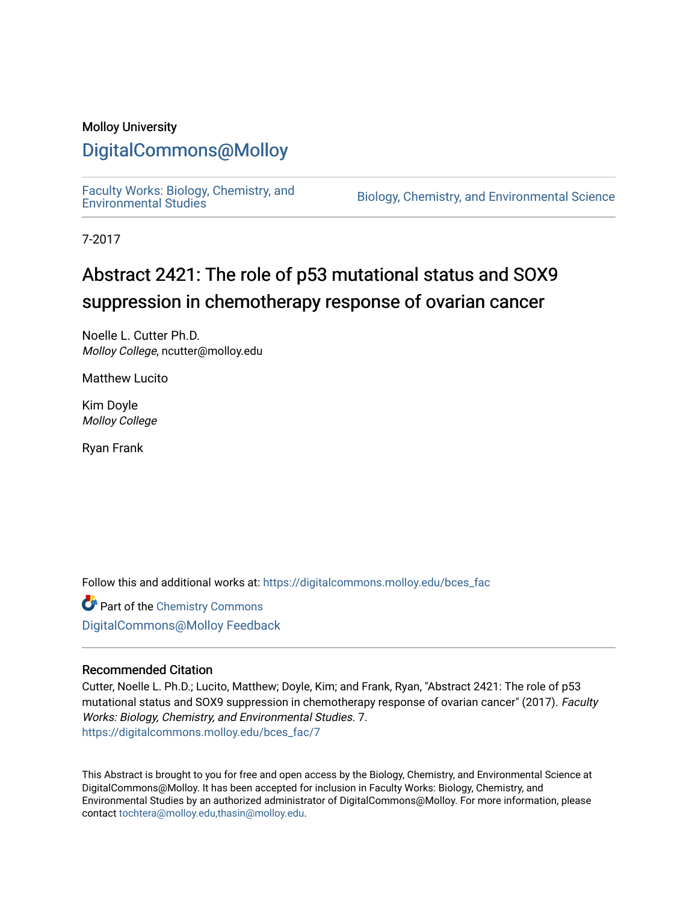### Molloy University

### [DigitalCommons@Molloy](https://digitalcommons.molloy.edu/)

[Faculty Works: Biology, Chemistry, and](https://digitalcommons.molloy.edu/bces_fac) 

Biology, Chemistry, and Environmental Science

7-2017

## Abstract 2421: The role of p53 mutational status and SOX9 suppression in chemotherapy response of ovarian cancer

Noelle L. Cutter Ph.D. Molloy College, ncutter@molloy.edu

Matthew Lucito

Kim Doyle Molloy College

Ryan Frank

Follow this and additional works at: [https://digitalcommons.molloy.edu/bces\\_fac](https://digitalcommons.molloy.edu/bces_fac?utm_source=digitalcommons.molloy.edu%2Fbces_fac%2F7&utm_medium=PDF&utm_campaign=PDFCoverPages)

**Part of the Chemistry Commons** [DigitalCommons@Molloy Feedback](https://molloy.libwizard.com/f/dcfeedback)

#### Recommended Citation

Cutter, Noelle L. Ph.D.; Lucito, Matthew; Doyle, Kim; and Frank, Ryan, "Abstract 2421: The role of p53 mutational status and SOX9 suppression in chemotherapy response of ovarian cancer" (2017). Faculty Works: Biology, Chemistry, and Environmental Studies. 7. [https://digitalcommons.molloy.edu/bces\\_fac/7](https://digitalcommons.molloy.edu/bces_fac/7?utm_source=digitalcommons.molloy.edu%2Fbces_fac%2F7&utm_medium=PDF&utm_campaign=PDFCoverPages)

This Abstract is brought to you for free and open access by the Biology, Chemistry, and Environmental Science at DigitalCommons@Molloy. It has been accepted for inclusion in Faculty Works: Biology, Chemistry, and Environmental Studies by an authorized administrator of DigitalCommons@Molloy. For more information, please contact [tochtera@molloy.edu,thasin@molloy.edu.](mailto:tochtera@molloy.edu,thasin@molloy.edu)